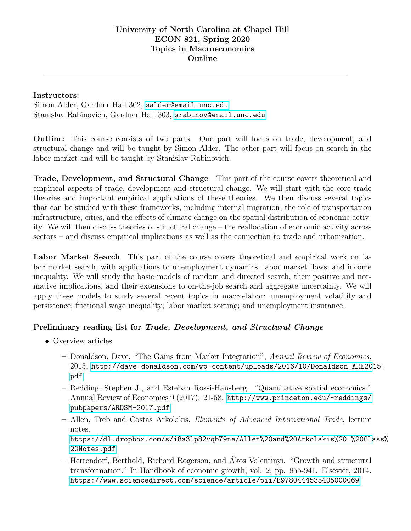## Instructors:

Simon Alder, Gardner Hall 302, <salder@email.unc.edu> Stanislav Rabinovich, Gardner Hall 303, <srabinov@email.unc.edu>

Outline: This course consists of two parts. One part will focus on trade, development, and structural change and will be taught by Simon Alder. The other part will focus on search in the labor market and will be taught by Stanislav Rabinovich.

Trade, Development, and Structural Change This part of the course covers theoretical and empirical aspects of trade, development and structural change. We will start with the core trade theories and important empirical applications of these theories. We then discuss several topics that can be studied with these frameworks, including internal migration, the role of transportation infrastructure, cities, and the effects of climate change on the spatial distribution of economic activity. We will then discuss theories of structural change – the reallocation of economic activity across sectors – and discuss empirical implications as well as the connection to trade and urbanization.

Labor Market Search This part of the course covers theoretical and empirical work on labor market search, with applications to unemployment dynamics, labor market flows, and income inequality. We will study the basic models of random and directed search, their positive and normative implications, and their extensions to on-the-job search and aggregate uncertainty. We will apply these models to study several recent topics in macro-labor: unemployment volatility and persistence; frictional wage inequality; labor market sorting; and unemployment insurance.

## Preliminary reading list for Trade, Development, and Structural Change

- Overview articles
	- Donaldson, Dave, "The Gains from Market Integration", Annual Review of Economics, 2015. [http://dave-donaldson.com/wp-content/uploads/2016/10/Donaldson\\_ARE201](http://dave-donaldson.com/wp-content/uploads/2016/10/Donaldson_ARE2015.pdf)5. [pdf](http://dave-donaldson.com/wp-content/uploads/2016/10/Donaldson_ARE2015.pdf)
	- Redding, Stephen J., and Esteban Rossi-Hansberg. "Quantitative spatial economics." Annual Review of Economics 9 (2017): 21-58. [http://www.princeton.edu/~reddings/](http://www.princeton.edu/~reddings/pubpapers/ARQSM-2017.pdf) [pubpapers/ARQSM-2017.pdf](http://www.princeton.edu/~reddings/pubpapers/ARQSM-2017.pdf)
	- Allen, Treb and Costas Arkolakis, Elements of Advanced International Trade, lecture notes. [https://dl.dropbox.com/s/i8a3lp82vqb79ne/Allen%20and%20Arkolakis%20-%20Cla](https://dl.dropbox.com/s/i8a3lp82vqb79ne/Allen%20and%20Arkolakis%20-%20Class%20Notes.pdf)ss% [20Notes.pdf](https://dl.dropbox.com/s/i8a3lp82vqb79ne/Allen%20and%20Arkolakis%20-%20Class%20Notes.pdf)
	- Herrendorf, Berthold, Richard Rogerson, and Akos Valentinyi. "Growth and structural ´ transformation." In Handbook of economic growth, vol. 2, pp. 855-941. Elsevier, 2014. <https://www.sciencedirect.com/science/article/pii/B9780444535405000069>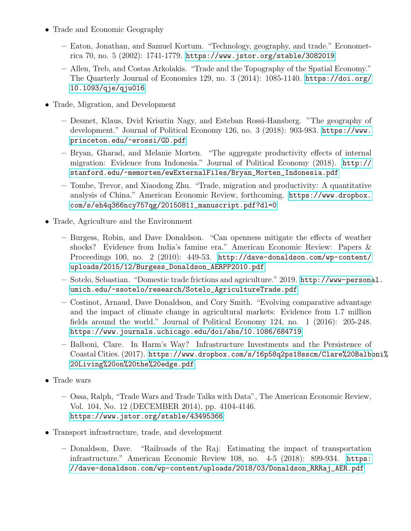- Trade and Economic Geography
	- Eaton, Jonathan, and Samuel Kortum. "Technology, geography, and trade." Econometrica 70, no. 5 (2002): 1741-1779. <https://www.jstor.org/stable/3082019>
	- Allen, Treb, and Costas Arkolakis. "Trade and the Topography of the Spatial Economy." The Quarterly Journal of Economics 129, no. 3 (2014): 1085-1140. [https://doi.org/](https://doi.org/10.1093/qje/qju016) [10.1093/qje/qju016](https://doi.org/10.1093/qje/qju016)
- Trade, Migration, and Development
	- Desmet, Klaus, Dvid Krisztin Nagy, and Esteban Rossi-Hansberg. "The geography of development." Journal of Political Economy 126, no. 3 (2018): 903-983. [https://www.](https://www.princeton.edu/~erossi/GD.pdf) [princeton.edu/~erossi/GD.pdf](https://www.princeton.edu/~erossi/GD.pdf)
	- Bryan, Gharad, and Melanie Morten. "The aggregate productivity effects of internal migration: Evidence from Indonesia." Journal of Political Economy (2018). [http://](http://stanford.edu/~memorten/ewExternalFiles/Bryan_Morten_Indonesia.pdf) [stanford.edu/~memorten/ewExternalFiles/Bryan\\_Morten\\_Indonesia.pdf](http://stanford.edu/~memorten/ewExternalFiles/Bryan_Morten_Indonesia.pdf)
	- Tombe, Trevor, and Xiaodong Zhu. "Trade, migration and productivity: A quantitative analysis of China." American Economic Review, forthcoming. [https://www.dropbox.](https://www.dropbox.com/s/eh4q366ncy757qg/20150811_manuscript.pdf?dl=0) [com/s/eh4q366ncy757qg/20150811\\_manuscript.pdf?dl=0](https://www.dropbox.com/s/eh4q366ncy757qg/20150811_manuscript.pdf?dl=0)
- Trade, Agriculture and the Environment
	- Burgess, Robin, and Dave Donaldson. "Can openness mitigate the effects of weather shocks? Evidence from India's famine era." American Economic Review: Papers & Proceedings 100, no. 2 (2010): 449-53. [http://dave-donaldson.com/wp-content/](http://dave-donaldson.com/wp-content/uploads/2015/12/Burgess_Donaldson_AERPP2010.pdf) [uploads/2015/12/Burgess\\_Donaldson\\_AERPP2010.pdf](http://dave-donaldson.com/wp-content/uploads/2015/12/Burgess_Donaldson_AERPP2010.pdf)
	- Sotelo, Sebastian. "Domestic trade frictions and agriculture." 2019. [http://www-persona](http://www-personal.umich.edu/~ssotelo/research/Sotelo_AgricultureTrade.pdf)l. [umich.edu/~ssotelo/research/Sotelo\\_AgricultureTrade.pdf](http://www-personal.umich.edu/~ssotelo/research/Sotelo_AgricultureTrade.pdf)
	- Costinot, Arnaud, Dave Donaldson, and Cory Smith. "Evolving comparative advantage and the impact of climate change in agricultural markets: Evidence from 1.7 million fields around the world." Journal of Political Economy 124, no. 1 (2016): 205-248. <https://www.journals.uchicago.edu/doi/abs/10.1086/684719>
	- Balboni, Clare. In Harm's Way? Infrastructure Investments and the Persistence of Coastal Cities. (2017). [https://www.dropbox.com/s/16p58q2ps18sscm/Clare%20Balbo](https://www.dropbox.com/s/16p58q2ps18sscm/Clare%20Balboni%20Living%20on%20the%20edge.pdf)ni% [20Living%20on%20the%20edge.pdf](https://www.dropbox.com/s/16p58q2ps18sscm/Clare%20Balboni%20Living%20on%20the%20edge.pdf)
- Trade wars
	- Ossa, Ralph, "Trade Wars and Trade Talks with Data", The American Economic Review, Vol. 104, No. 12 (DECEMBER 2014), pp. 4104-4146. <https://www.jstor.org/stable/43495366>
- Transport infrastructure, trade, and development
	- Donaldson, Dave. "Railroads of the Raj: Estimating the impact of transportation infrastructure." American Economic Review 108, no. 4-5 (2018): 899-934. [https:](https://dave-donaldson.com/wp-content/uploads/2018/03/Donaldson_RRRaj_AER.pdf) [//dave-donaldson.com/wp-content/uploads/2018/03/Donaldson\\_RRRaj\\_AER.pdf](https://dave-donaldson.com/wp-content/uploads/2018/03/Donaldson_RRRaj_AER.pdf)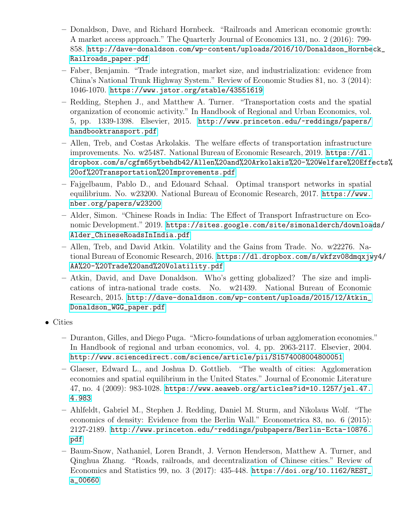- Donaldson, Dave, and Richard Hornbeck. "Railroads and American economic growth: A market access approach." The Quarterly Journal of Economics 131, no. 2 (2016): 799- 858. [http://dave-donaldson.com/wp-content/uploads/2016/10/Donaldson\\_Hornbe](http://dave-donaldson.com/wp-content/uploads/2016/10/Donaldson_Hornbeck_Railroads_paper.pdf)ck\_ [Railroads\\_paper.pdf](http://dave-donaldson.com/wp-content/uploads/2016/10/Donaldson_Hornbeck_Railroads_paper.pdf)
- Faber, Benjamin. "Trade integration, market size, and industrialization: evidence from China's National Trunk Highway System." Review of Economic Studies 81, no. 3 (2014): 1046-1070. [https://www.jstor.org/stable/43551619]( https://www.jstor.org/stable/43551619)
- Redding, Stephen J., and Matthew A. Turner. "Transportation costs and the spatial organization of economic activity." In Handbook of Regional and Urban Economics, vol. 5, pp. 1339-1398. Elsevier, 2015. [http://www.princeton.edu/~reddings/papers/](http://www.princeton.edu/~reddings/papers/handbooktransport.pdf) [handbooktransport.pdf](http://www.princeton.edu/~reddings/papers/handbooktransport.pdf)
- Allen, Treb, and Costas Arkolakis. The welfare effects of transportation infrastructure improvements. No. w25487. National Bureau of Economic Research, 2019. [https://dl.](https://dl.dropbox.com/s/cgfm65ytbehdb42/Allen%20and%20Arkolakis%20-%20Welfare%20Effects%20of%20Transportation%20Improvements.pdf) [dropbox.com/s/cgfm65ytbehdb42/Allen%20and%20Arkolakis%20-%20Welfare%20Effe](https://dl.dropbox.com/s/cgfm65ytbehdb42/Allen%20and%20Arkolakis%20-%20Welfare%20Effects%20of%20Transportation%20Improvements.pdf)cts% [20of%20Transportation%20Improvements.pdf](https://dl.dropbox.com/s/cgfm65ytbehdb42/Allen%20and%20Arkolakis%20-%20Welfare%20Effects%20of%20Transportation%20Improvements.pdf)
- Fajgelbaum, Pablo D., and Edouard Schaal. Optimal transport networks in spatial equilibrium. No. w23200. National Bureau of Economic Research, 2017. [https://www.](https://www.nber.org/papers/w23200) [nber.org/papers/w23200](https://www.nber.org/papers/w23200)
- Alder, Simon. "Chinese Roads in India: The Effect of Transport Infrastructure on Economic Development." 2019. [https://sites.google.com/site/simonalderch/download](https://sites.google.com/site/simonalderch/downloads/Alder_ChineseRoadsInIndia.pdf)s/ [Alder\\_ChineseRoadsInIndia.pdf](https://sites.google.com/site/simonalderch/downloads/Alder_ChineseRoadsInIndia.pdf)
- Allen, Treb, and David Atkin. Volatility and the Gains from Trade. No. w22276. National Bureau of Economic Research, 2016. [https://dl.dropbox.com/s/wkfzv08dmqxjw](https://dl.dropbox.com/s/wkfzv08dmqxjwy4/AA%20-%20Trade%20and%20Volatility.pdf)y4/ [AA%20-%20Trade%20and%20Volatility.pdf](https://dl.dropbox.com/s/wkfzv08dmqxjwy4/AA%20-%20Trade%20and%20Volatility.pdf)
- Atkin, David, and Dave Donaldson. Who's getting globalized? The size and implications of intra-national trade costs. No. w21439. National Bureau of Economic Research, 2015. [http://dave-donaldson.com/wp-content/uploads/2015/12/Atkin\\_](http://dave-donaldson.com/wp-content/uploads/2015/12/Atkin_Donaldson_WGG_paper.pdf) [Donaldson\\_WGG\\_paper.pdf](http://dave-donaldson.com/wp-content/uploads/2015/12/Atkin_Donaldson_WGG_paper.pdf)
- Cities
	- Duranton, Gilles, and Diego Puga. "Micro-foundations of urban agglomeration economies." In Handbook of regional and urban economics, vol. 4, pp. 2063-2117. Elsevier, 2004. <http://www.sciencedirect.com/science/article/pii/S1574008004800051>
	- Glaeser, Edward L., and Joshua D. Gottlieb. "The wealth of cities: Agglomeration economies and spatial equilibrium in the United States." Journal of Economic Literature 47, no. 4 (2009): 983-1028. [https://www.aeaweb.org/articles?id=10.1257/jel.47.](https://www.aeaweb.org/articles?id=10.1257/jel.47.4.983) [4.983](https://www.aeaweb.org/articles?id=10.1257/jel.47.4.983)
	- Ahlfeldt, Gabriel M., Stephen J. Redding, Daniel M. Sturm, and Nikolaus Wolf. "The economics of density: Evidence from the Berlin Wall." Econometrica 83, no. 6 (2015): 2127-2189. [http://www.princeton.edu/~reddings/pubpapers/Berlin-Ecta-10876.](http://www.princeton.edu/~reddings/pubpapers/Berlin-Ecta-10876.pdf) [pdf](http://www.princeton.edu/~reddings/pubpapers/Berlin-Ecta-10876.pdf)
	- Baum-Snow, Nathaniel, Loren Brandt, J. Vernon Henderson, Matthew A. Turner, and Qinghua Zhang. "Roads, railroads, and decentralization of Chinese cities." Review of Economics and Statistics 99, no. 3 (2017): 435-448. [https://doi.org/10.1162/REST\\_](https://doi.org/10.1162/REST_a_00660) [a\\_00660](https://doi.org/10.1162/REST_a_00660)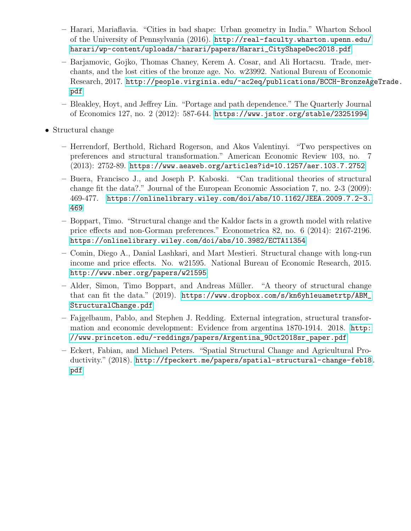- Harari, Mariaflavia. "Cities in bad shape: Urban geometry in India." Wharton School of the University of Pennsylvania (2016). [http://real-faculty.wharton.upenn.edu/](http://real-faculty.wharton.upenn.edu/harari/wp-content/uploads/~harari/papers/Harari_CityShapeDec2018.pdf) [harari/wp-content/uploads/~harari/papers/Harari\\_CityShapeDec2018.pdf](http://real-faculty.wharton.upenn.edu/harari/wp-content/uploads/~harari/papers/Harari_CityShapeDec2018.pdf)
- Barjamovic, Gojko, Thomas Chaney, Kerem A. Cosar, and Ali Hortacsu. Trade, merchants, and the lost cities of the bronze age. No. w23992. National Bureau of Economic Research, 2017. [http://people.virginia.edu/~ac2eq/publications/BCCH-BronzeAg](http://people.virginia.edu/~ac2eq/publications/BCCH-BronzeAgeTrade.pdf)eTrade. [pdf](http://people.virginia.edu/~ac2eq/publications/BCCH-BronzeAgeTrade.pdf)
- Bleakley, Hoyt, and Jeffrey Lin. "Portage and path dependence." The Quarterly Journal of Economics 127, no. 2 (2012): 587-644. <https://www.jstor.org/stable/23251994>
- Structural change
	- Herrendorf, Berthold, Richard Rogerson, and Akos Valentinyi. "Two perspectives on preferences and structural transformation." American Economic Review 103, no. 7 (2013): 2752-89. <https://www.aeaweb.org/articles?id=10.1257/aer.103.7.2752>
	- Buera, Francisco J., and Joseph P. Kaboski. "Can traditional theories of structural change fit the data?." Journal of the European Economic Association 7, no. 2-3 (2009): 469-477. [https://onlinelibrary.wiley.com/doi/abs/10.1162/JEEA.2009.7.2-3.](https://onlinelibrary.wiley.com/doi/abs/10.1162/JEEA.2009.7.2-3.469) [469](https://onlinelibrary.wiley.com/doi/abs/10.1162/JEEA.2009.7.2-3.469)
	- Boppart, Timo. "Structural change and the Kaldor facts in a growth model with relative price effects and non-Gorman preferences." Econometrica 82, no. 6 (2014): 2167-2196. <https://onlinelibrary.wiley.com/doi/abs/10.3982/ECTA11354>
	- Comin, Diego A., Danial Lashkari, and Mart Mestieri. Structural change with long-run income and price effects. No. w21595. National Bureau of Economic Research, 2015. <http://www.nber.org/papers/w21595>
	- Alder, Simon, Timo Boppart, and Andreas M¨uller. "A theory of structural change that can fit the data." (2019). [https://www.dropbox.com/s/kn6yh1euametrtp/ABM\\_](https://www.dropbox.com/s/kn6yh1euametrtp/ABM_StructuralChange.pdf) [StructuralChange.pdf](https://www.dropbox.com/s/kn6yh1euametrtp/ABM_StructuralChange.pdf)
	- Fajgelbaum, Pablo, and Stephen J. Redding. External integration, structural transformation and economic development: Evidence from argentina 1870-1914. 2018. [http:](http://www.princeton.edu/~reddings/papers/Argentina_9Oct2018sr_paper.pdf) [//www.princeton.edu/~reddings/papers/Argentina\\_9Oct2018sr\\_paper.pdf](http://www.princeton.edu/~reddings/papers/Argentina_9Oct2018sr_paper.pdf)
	- Eckert, Fabian, and Michael Peters. "Spatial Structural Change and Agricultural Productivity." (2018). [http://fpeckert.me/papers/spatial-structural-change-feb18.](http://fpeckert.me/papers/spatial-structural-change-feb18.pdf) [pdf](http://fpeckert.me/papers/spatial-structural-change-feb18.pdf)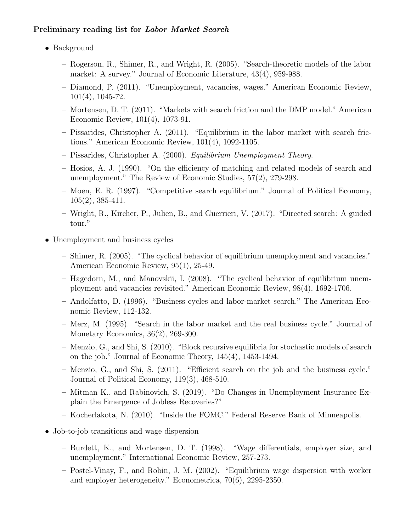## Preliminary reading list for Labor Market Search

- Background
	- Rogerson, R., Shimer, R., and Wright, R. (2005). "Search-theoretic models of the labor market: A survey." Journal of Economic Literature, 43(4), 959-988.
	- Diamond, P. (2011). "Unemployment, vacancies, wages." American Economic Review, 101(4), 1045-72.
	- Mortensen, D. T. (2011). "Markets with search friction and the DMP model." American Economic Review, 101(4), 1073-91.
	- Pissarides, Christopher A. (2011). "Equilibrium in the labor market with search frictions." American Economic Review, 101(4), 1092-1105.
	- Pissarides, Christopher A. (2000). Equilibrium Unemployment Theory.
	- Hosios, A. J. (1990). "On the efficiency of matching and related models of search and unemployment." The Review of Economic Studies, 57(2), 279-298.
	- Moen, E. R. (1997). "Competitive search equilibrium." Journal of Political Economy, 105(2), 385-411.
	- Wright, R., Kircher, P., Julien, B., and Guerrieri, V. (2017). "Directed search: A guided tour."
- Unemployment and business cycles
	- Shimer, R. (2005). "The cyclical behavior of equilibrium unemployment and vacancies." American Economic Review, 95(1), 25-49.
	- Hagedorn, M., and Manovskii, I. (2008). "The cyclical behavior of equilibrium unemployment and vacancies revisited." American Economic Review, 98(4), 1692-1706.
	- Andolfatto, D. (1996). "Business cycles and labor-market search." The American Economic Review, 112-132.
	- Merz, M. (1995). "Search in the labor market and the real business cycle." Journal of Monetary Economics, 36(2), 269-300.
	- Menzio, G., and Shi, S. (2010). "Block recursive equilibria for stochastic models of search on the job." Journal of Economic Theory, 145(4), 1453-1494.
	- Menzio, G., and Shi, S. (2011). "Efficient search on the job and the business cycle." Journal of Political Economy, 119(3), 468-510.
	- Mitman K., and Rabinovich, S. (2019). "Do Changes in Unemployment Insurance Explain the Emergence of Jobless Recoveries?"
	- Kocherlakota, N. (2010). "Inside the FOMC." Federal Reserve Bank of Minneapolis.
- Job-to-job transitions and wage dispersion
	- Burdett, K., and Mortensen, D. T. (1998). "Wage differentials, employer size, and unemployment." International Economic Review, 257-273.
	- Postel-Vinay, F., and Robin, J. M. (2002). "Equilibrium wage dispersion with worker and employer heterogeneity." Econometrica, 70(6), 2295-2350.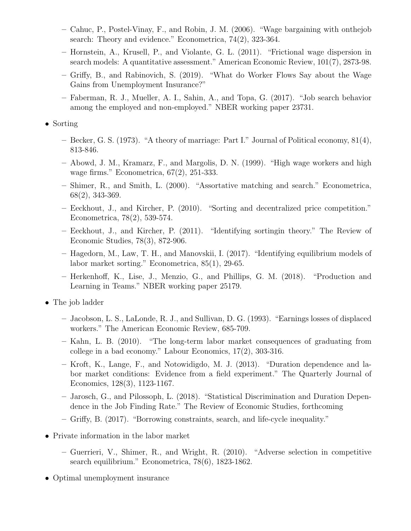- Cahuc, P., Postel-Vinay, F., and Robin, J. M. (2006). "Wage bargaining with onthejob search: Theory and evidence." Econometrica, 74(2), 323-364.
- Hornstein, A., Krusell, P., and Violante, G. L. (2011). "Frictional wage dispersion in search models: A quantitative assessment." American Economic Review, 101(7), 2873-98.
- Griffy, B., and Rabinovich, S. (2019). "What do Worker Flows Say about the Wage Gains from Unemployment Insurance?"
- Faberman, R. J., Mueller, A. I., Sahin, A., and Topa, G. (2017). "Job search behavior among the employed and non-employed." NBER working paper 23731.

• Sorting

- Becker, G. S. (1973). "A theory of marriage: Part I." Journal of Political economy, 81(4), 813-846.
- Abowd, J. M., Kramarz, F., and Margolis, D. N. (1999). "High wage workers and high wage firms." Econometrica, 67(2), 251-333.
- Shimer, R., and Smith, L. (2000). "Assortative matching and search." Econometrica, 68(2), 343-369.
- Eeckhout, J., and Kircher, P. (2010). "Sorting and decentralized price competition." Econometrica, 78(2), 539-574.
- Eeckhout, J., and Kircher, P. (2011). "Identifying sortingin theory." The Review of Economic Studies, 78(3), 872-906.
- Hagedorn, M., Law, T. H., and Manovskii, I. (2017). "Identifying equilibrium models of labor market sorting." Econometrica, 85(1), 29-65.
- Herkenhoff, K., Lise, J., Menzio, G., and Phillips, G. M. (2018). "Production and Learning in Teams." NBER working paper 25179.

• The job ladder

- Jacobson, L. S., LaLonde, R. J., and Sullivan, D. G. (1993). "Earnings losses of displaced workers." The American Economic Review, 685-709.
- Kahn, L. B. (2010). "The long-term labor market consequences of graduating from college in a bad economy." Labour Economics, 17(2), 303-316.
- Kroft, K., Lange, F., and Notowidigdo, M. J. (2013). "Duration dependence and labor market conditions: Evidence from a field experiment." The Quarterly Journal of Economics, 128(3), 1123-1167.
- Jarosch, G., and Pilossoph, L. (2018). "Statistical Discrimination and Duration Dependence in the Job Finding Rate." The Review of Economic Studies, forthcoming
- Griffy, B. (2017). "Borrowing constraints, search, and life-cycle inequality."
- Private information in the labor market
	- Guerrieri, V., Shimer, R., and Wright, R. (2010). "Adverse selection in competitive search equilibrium." Econometrica, 78(6), 1823-1862.
- Optimal unemployment insurance